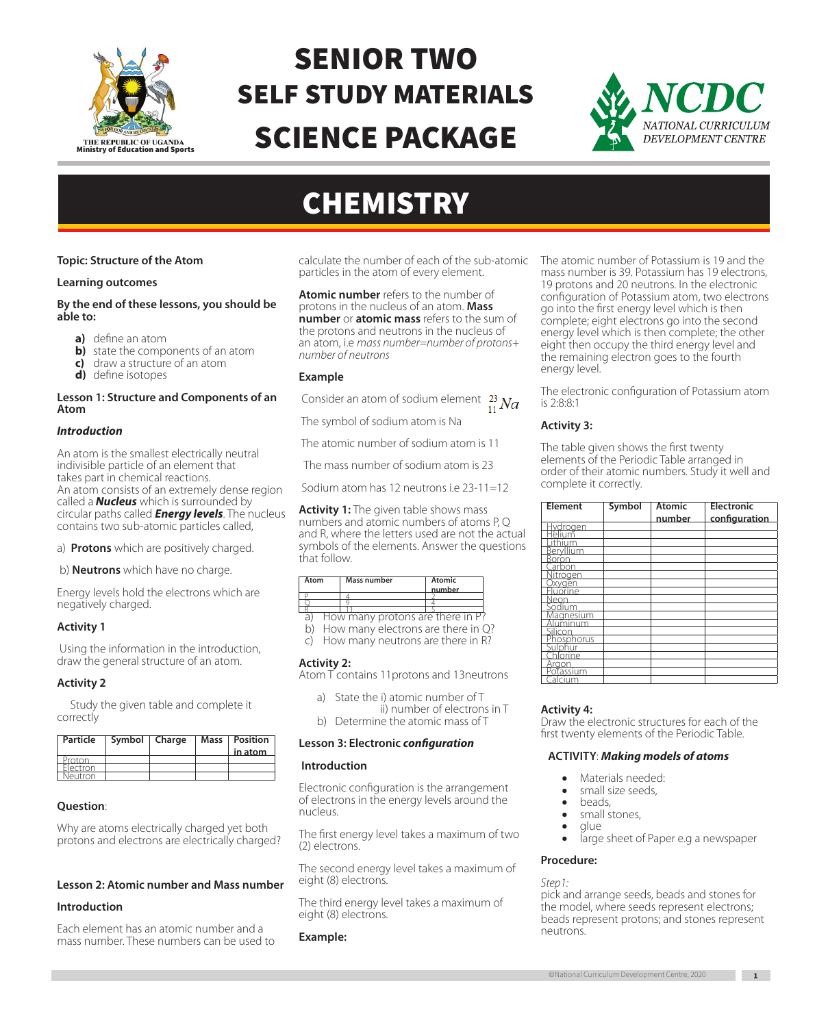

# SENIOR TWO SELF STUDY MATERIALS SCIENCE PACKAGE



## **CHEMISTRY**

## **Topic: Structure of the Atom**

#### **Learning outcomes**

#### **By the end of these lessons, you should be able to:**

- **a)** define an atom
- **b)** state the components of an atom<br>**c)** draw a structure of an atom
- **c)** draw a structure of an atom
- **d)** define isotopes

#### **Lesson 1: Structure and Components of an Atom**

## *Introduction*

An atom is the smallest electrically neutral indivisible particle of an element that takes part in chemical reactions. An atom consists of an extremely dense region called a *Nucleus* which is surrounded by circular paths called *Energy levels*. The nucleus contains two sub-atomic particles called,

a) **Protons** which are positively charged.

b) **Neutrons** which have no charge.

Energy levels hold the electrons which are negatively charged.

## **Activity 1**

Using the information in the introduction, draw the general structure of an atom.

## **Activity 2**

 Study the given table and complete it correctly

| Particle   Symbol   Charge |  | Mass Position<br>in atom |
|----------------------------|--|--------------------------|
| Proton                     |  |                          |
| Flectron                   |  |                          |
| Jeutron                    |  |                          |

## **Question**:

Why are atoms electrically charged yet both protons and electrons are electrically charged?

## **Lesson 2: Atomic number and Mass number**

## **Introduction**

Each element has an atomic number and a mass number. These numbers can be used to calculate the number of each of the sub-atomic particles in the atom of every element.

**Atomic number** refers to the number of protons in the nucleus of an atom. **Mass number** or **atomic mass** refers to the sum of the protons and neutrons in the nucleus of an atom, i.e *mass number=number of protons+ number of neutrons*

## **Example**

Consider an atom of sodium element  $\frac{23}{11}$  Na

The symbol of sodium atom is Na

The atomic number of sodium atom is 11

The mass number of sodium atom is 23

Sodium atom has 12 neutrons i.e 23-11=12

**Activity 1:** The given table shows mass numbers and atomic numbers of atoms P, Q and R, where the letters used are not the actual symbols of the elements. Answer the questions that follow.

| Atom | Mass number                      | Atomic |
|------|----------------------------------|--------|
|      |                                  | number |
|      |                                  |        |
|      |                                  |        |
|      |                                  |        |
|      | How many protons are there in P? |        |

- b) How many electrons are there in Q?
- c) How many neutrons are there in R?

## **Activity 2:**

Atom T contains 11protons and 13neutrons

- a) State the i) atomic number of T
- ii) number of electrons in T
- b) Determine the atomic mass of T

## **Lesson 3: Electronic** *configuration*

## **Introduction**

Electronic configuration is the arrangement of electrons in the energy levels around the nucleus.

The first energy level takes a maximum of two (2) electrons.

The second energy level takes a maximum of eight (8) electrons.

The third energy level takes a maximum of eight (8) electrons.

## **Example:**

The atomic number of Potassium is 19 and the mass number is 39. Potassium has 19 electrons, 19 protons and 20 neutrons. In the electronic configuration of Potassium atom, two electrons go into the first energy level which is then complete; eight electrons go into the second energy level which is then complete; the other eight then occupy the third energy level and the remaining electron goes to the fourth energy level.

The electronic configuration of Potassium atom is 2:8:8:1

## **Activity 3:**

The table given shows the first twenty elements of the Periodic Table arranged in order of their atomic numbers. Study it well and complete it correctly.

| <b>Element</b>             | <b>Symbol</b> | <b>Atomic</b> | <b>Electronic</b> |
|----------------------------|---------------|---------------|-------------------|
|                            |               | number        | configuration     |
| Hvdroaen                   |               |               |                   |
| Telium                     |               |               |                   |
| ithium                     |               |               |                   |
| Bervllium                  |               |               |                   |
| <u>Boron</u>               |               |               |                   |
| Carbon                     |               |               |                   |
| <u>Nitrogen</u>            |               |               |                   |
| <u>Oxygĕn<br/>Eluorine</u> |               |               |                   |
|                            |               |               |                   |
| Neon                       |               |               |                   |
| Sodium                     |               |               |                   |
| Magnesium                  |               |               |                   |
| Aluminum                   |               |               |                   |
| <b>Silicon</b>             |               |               |                   |
| Phosphorus                 |               |               |                   |
| Sulphur                    |               |               |                   |
| hľorine                    |               |               |                   |
| raon                       |               |               |                   |
| Potassium                  |               |               |                   |
| `alcium                    |               |               |                   |

## **Activity 4:**

Draw the electronic structures for each of the first twenty elements of the Periodic Table.

## **ACTIVITY**: *Making models of atoms*

- Materials needed:
- small size seeds,
- beads,
- small stones,
- glue<br>• large
- large sheet of Paper e.g a newspaper

## **Procedure:**

*Step1:* 

pick and arrange seeds, beads and stones for the model, where seeds represent electrons; beads represent protons; and stones represent neutrons.